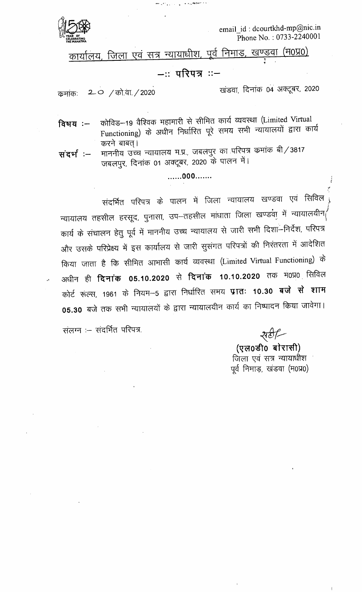

email\_id: dcourtkhd-mp@nic.in Phone No.: 0733-2240001

कार्यालय, जिला एवं सत्र न्यायाधीश, पूर्व निमाड, खण्डवा (म0प्र0)

**African Comments** 

## –∷ परिपत्र ∷−

 $2$  0 / को.वा. / 2020 कमांकः

खंडवा, दिनांक 04 अक्टूबर, 2020

कोविड–19 वैश्विक महामारी से सीमित कार्य व्यवस्था (Limited Virtual विषय $:=$ Functioning) के अधीन निर्धारित पूरे समय सभी न्यायालयों द्वारा कार्य करने बाबत्।

माननीय उच्च न्यायालय म.प्र., जबलपुर का परिपत्र कमांक बी / 3817 संदर्भ :-जबलपुर, दिनांक 01 अक्टूबर, 2020 के पालन में।

## .......000.......

संदर्भित परिपत्र के पालन में जिला न्यायालय खण्डवा एवं सिविल न्यायालय तहसील हरसूद, पुनासा, उप—तहसील माधाता जिला खण्डवा में न्यायालयीन $\langle$ कार्य के संचालन हेतु पूर्व में माननीय उच्च न्यायालय से जारी सभी दिशा-निर्देश, परिपत्र और उसके परिप्रेक्ष्य में इस कार्यालय से जारी सुसंगत परिपत्रों की निरंतरता में आदेशित किया जाता है कि सीमित आभासी कार्य व्यवस्था (Limited Virtual Functioning) के अधीन ही **दिनांक 05.10.2020** से **दिनांक 10.10.2020** तक म0प्र0 सिविल कोर्ट रूल्स, 1961 के नियम-5 द्वारा निर्धारित समय **प्रातः 10.30 बजे से शाम** 05.30 बजे तक सभी न्यायालयों के द्वारा न्यायालयीन कार्य का निष्पादन किया जावेगा।

संलग्न :- संदर्भित परिपत्र.

सर्टी

(एल0डी0 बोरासी) जिला एवं सत्र न्यायाधीश पूर्व निमाड़, खंडवा (म0प्र0)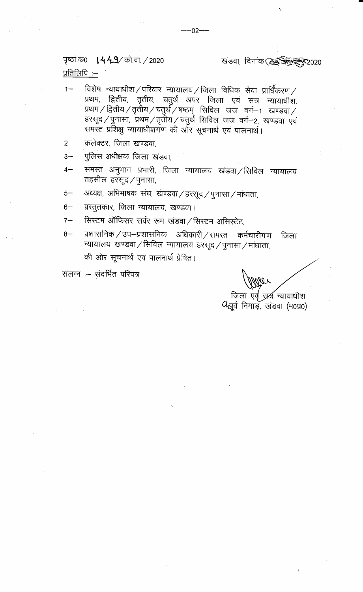पृष्ठां क0 **। 4 4 9**/ को.वा. / 2020

## खंडवा, दिनांक (केइलिल्क्ट्रेल्फ्ट्र 2020

<u>प्रतिलिपि:--</u>

- विशेष न्यायाधीश $\angle$ परिवार न्यायालय $\angle$ जिला विधिक सेवा प्रार्धिकरण $\angle$  $1 -$ प्रथम, द्वितीय, तृतीय, चतुर्थ अपर जिला एवं सत्र न्यायाधीश, प्रथम / द्वितीय / तृतीय / चतुर्थ / षष्ठम् सिविल जज वर्ग-1 खण्डवा / हरसूद / पुनासा, प्रथम / तृतीय / चतुर्थ सिविल जज वर्ग-2, खण्डवा एवं समस्त प्रशिक्षु न्यायाधीशगण की ओर सूचनार्थ एवं पालनार्थ।
- कलेक्टर, जिला खण्डवा,  $2 -$
- पुलिस अधीक्षक जिला खंडवा,  $3-$
- समस्त अनुभाग प्रभारी, जिला न्यायालय खंडवा /सिविल न्यायालय  $4-$ तहसील हरसूद $/$ पुनासा,
- अध्यक्ष, अभिभाषक संघ, खण्डवा $/$ हरसूद $/$ पुनासा $/$ माधाता,  $5-$
- $6-$ प्रस्तुतकार, जिला न्यायालय, खण्डवा।
- सिस्टम ऑफिसर सर्वर रूम खंडवा / सिस्टम असिस्टेंट,  $7-$
- प्रशासनिक / उप-प्रशासनिक अधिकारी / समस्त कर्मचारीगण  $8-$ जिला न्यायालयं खण्डवा $/$ सिविल न्यायालयं हरसूद $/$ पुनासा $/$ मांधाता, की ओर सूचनार्थ एवं पालनार्थ प्रेषित।

सलग्न :- संदर्भित परिपत्र

जिला एवं स्रत्र न्यायाधीश

4 यूर्व निमाड़, खंडवा (म0प्र0)